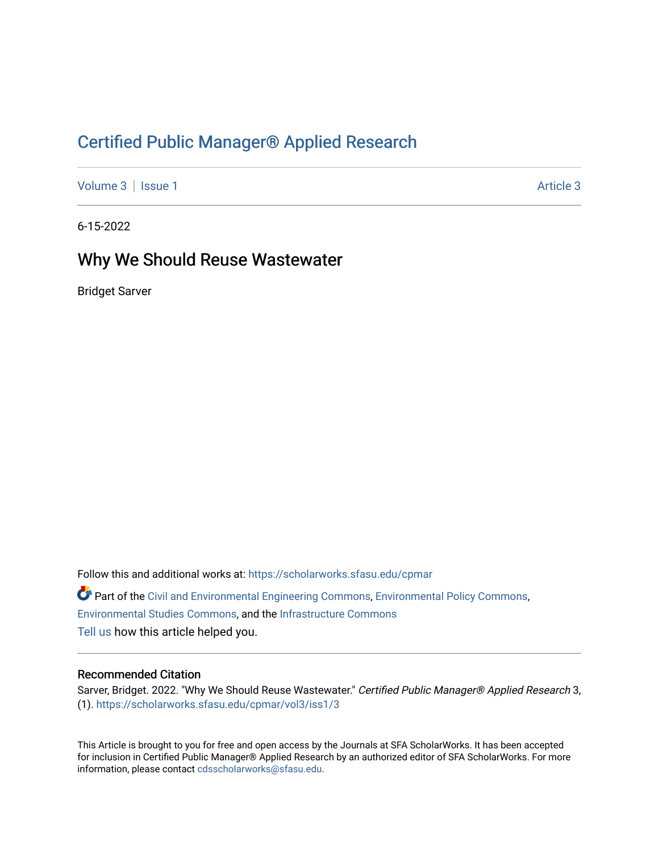# [Certified Public Manager® Applied Research](https://scholarworks.sfasu.edu/cpmar)

[Volume 3](https://scholarworks.sfasu.edu/cpmar/vol3) | [Issue 1](https://scholarworks.sfasu.edu/cpmar/vol3/iss1) Article 3

6-15-2022

# Why We Should Reuse Wastewater

Bridget Sarver

Follow this and additional works at: [https://scholarworks.sfasu.edu/cpmar](https://scholarworks.sfasu.edu/cpmar?utm_source=scholarworks.sfasu.edu%2Fcpmar%2Fvol3%2Fiss1%2F3&utm_medium=PDF&utm_campaign=PDFCoverPages)  Part of the [Civil and Environmental Engineering Commons](https://network.bepress.com/hgg/discipline/251?utm_source=scholarworks.sfasu.edu%2Fcpmar%2Fvol3%2Fiss1%2F3&utm_medium=PDF&utm_campaign=PDFCoverPages), [Environmental Policy Commons](https://network.bepress.com/hgg/discipline/1027?utm_source=scholarworks.sfasu.edu%2Fcpmar%2Fvol3%2Fiss1%2F3&utm_medium=PDF&utm_campaign=PDFCoverPages), [Environmental Studies Commons,](https://network.bepress.com/hgg/discipline/1333?utm_source=scholarworks.sfasu.edu%2Fcpmar%2Fvol3%2Fiss1%2F3&utm_medium=PDF&utm_campaign=PDFCoverPages) and the [Infrastructure Commons](https://network.bepress.com/hgg/discipline/1066?utm_source=scholarworks.sfasu.edu%2Fcpmar%2Fvol3%2Fiss1%2F3&utm_medium=PDF&utm_campaign=PDFCoverPages)  [Tell us](http://sfasu.qualtrics.com/SE/?SID=SV_0qS6tdXftDLradv) how this article helped you.

#### Recommended Citation

Sarver, Bridget. 2022. "Why We Should Reuse Wastewater." Certified Public Manager® Applied Research 3, (1). [https://scholarworks.sfasu.edu/cpmar/vol3/iss1/3](https://scholarworks.sfasu.edu/cpmar/vol3/iss1/3?utm_source=scholarworks.sfasu.edu%2Fcpmar%2Fvol3%2Fiss1%2F3&utm_medium=PDF&utm_campaign=PDFCoverPages) 

This Article is brought to you for free and open access by the Journals at SFA ScholarWorks. It has been accepted for inclusion in Certified Public Manager® Applied Research by an authorized editor of SFA ScholarWorks. For more information, please contact [cdsscholarworks@sfasu.edu](mailto:cdsscholarworks@sfasu.edu).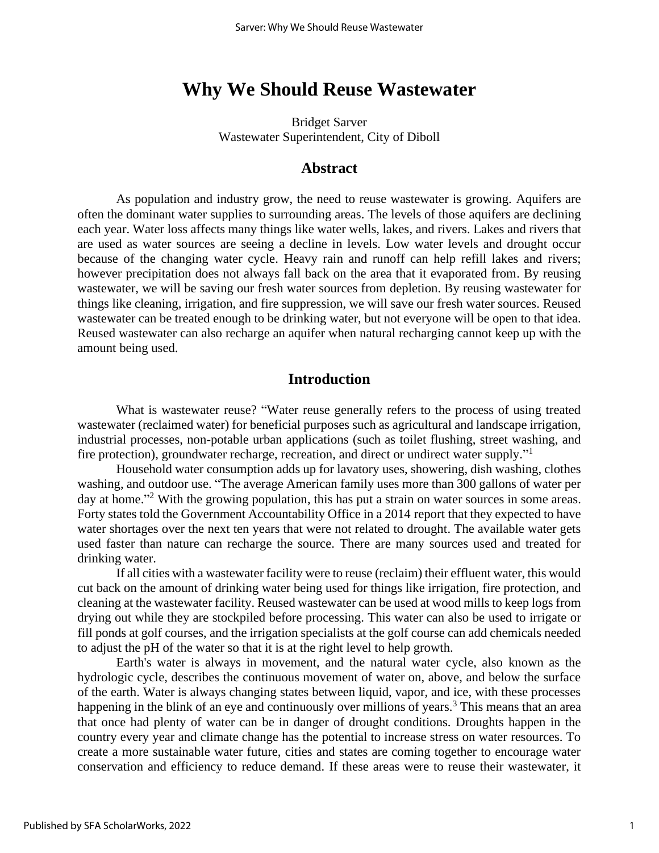# **Why We Should Reuse Wastewater**

Bridget Sarver Wastewater Superintendent, City of Diboll

# **Abstract**

As population and industry grow, the need to reuse wastewater is growing. Aquifers are often the dominant water supplies to surrounding areas. The levels of those aquifers are declining each year. Water loss affects many things like water wells, lakes, and rivers. Lakes and rivers that are used as water sources are seeing a decline in levels. Low water levels and drought occur because of the changing water cycle. Heavy rain and runoff can help refill lakes and rivers; however precipitation does not always fall back on the area that it evaporated from. By reusing wastewater, we will be saving our fresh water sources from depletion. By reusing wastewater for things like cleaning, irrigation, and fire suppression, we will save our fresh water sources. Reused wastewater can be treated enough to be drinking water, but not everyone will be open to that idea. Reused wastewater can also recharge an aquifer when natural recharging cannot keep up with the amount being used.

## **Introduction**

What is wastewater reuse? "Water reuse generally refers to the process of using treated wastewater (reclaimed water) for beneficial purposes such as agricultural and landscape irrigation, industrial processes, non-potable urban applications (such as toilet flushing, street washing, and fire protection), groundwater recharge, recreation, and direct or undirect water supply."<sup>1</sup>

Household water consumption adds up for lavatory uses, showering, dish washing, clothes washing, and outdoor use. "The average American family uses more than 300 gallons of water per day at home."<sup>2</sup> With the growing population, this has put a strain on water sources in some areas. Forty states told the Government Accountability Office in a 2014 report that they expected to have water shortages over the next ten years that were not related to drought. The available water gets used faster than nature can recharge the source. There are many sources used and treated for drinking water.

If all cities with a wastewater facility were to reuse (reclaim) their effluent water, this would cut back on the amount of drinking water being used for things like irrigation, fire protection, and cleaning at the wastewater facility. Reused wastewater can be used at wood mills to keep logs from drying out while they are stockpiled before processing. This water can also be used to irrigate or fill ponds at golf courses, and the irrigation specialists at the golf course can add chemicals needed to adjust the pH of the water so that it is at the right level to help growth.

Earth's water is always in movement, and the natural water cycle, also known as the hydrologic cycle, describes the continuous movement of water on, above, and below the surface of the earth. Water is always changing states between liquid, vapor, and ice, with these processes happening in the blink of an eye and continuously over millions of years.<sup>3</sup> This means that an area that once had plenty of water can be in danger of drought conditions. Droughts happen in the country every year and climate change has the potential to increase stress on water resources. To create a more sustainable water future, cities and states are coming together to encourage water conservation and efficiency to reduce demand. If these areas were to reuse their wastewater, it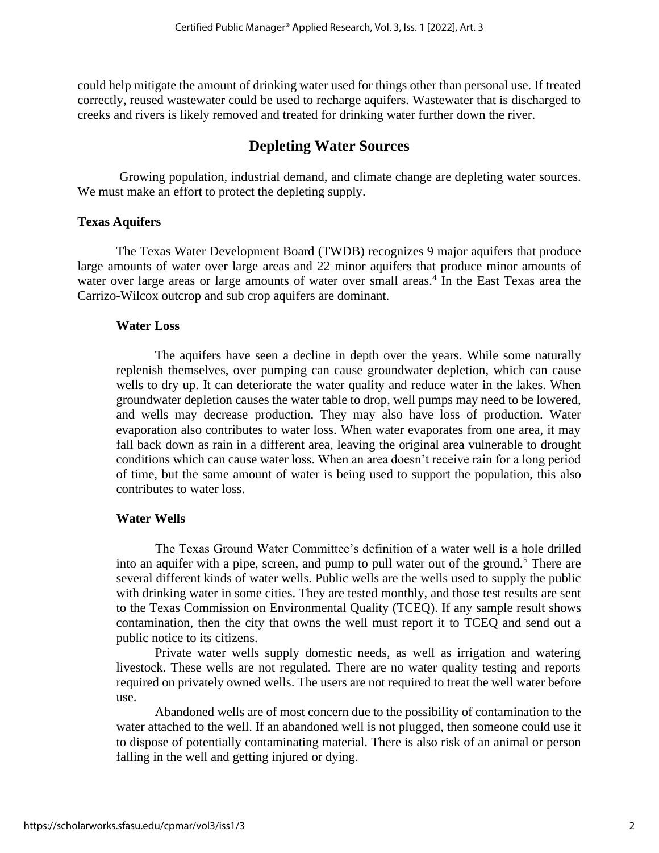could help mitigate the amount of drinking water used for things other than personal use. If treated correctly, reused wastewater could be used to recharge aquifers. Wastewater that is discharged to creeks and rivers is likely removed and treated for drinking water further down the river.

# **Depleting Water Sources**

Growing population, industrial demand, and climate change are depleting water sources. We must make an effort to protect the depleting supply.

# **Texas Aquifers**

The Texas Water Development Board (TWDB) recognizes 9 major aquifers that produce large amounts of water over large areas and 22 minor aquifers that produce minor amounts of water over large areas or large amounts of water over small areas.<sup>4</sup> In the East Texas area the Carrizo-Wilcox outcrop and sub crop aquifers are dominant.

# **Water Loss**

The aquifers have seen a decline in depth over the years. While some naturally replenish themselves, over pumping can cause groundwater depletion, which can cause wells to dry up. It can deteriorate the water quality and reduce water in the lakes. When groundwater depletion causes the water table to drop, well pumps may need to be lowered, and wells may decrease production. They may also have loss of production. Water evaporation also contributes to water loss. When water evaporates from one area, it may fall back down as rain in a different area, leaving the original area vulnerable to drought conditions which can cause water loss. When an area doesn't receive rain for a long period of time, but the same amount of water is being used to support the population, this also contributes to water loss.

# **Water Wells**

The Texas Ground Water Committee's definition of a water well is a hole drilled into an aquifer with a pipe, screen, and pump to pull water out of the ground.<sup>5</sup> There are several different kinds of water wells. Public wells are the wells used to supply the public with drinking water in some cities. They are tested monthly, and those test results are sent to the Texas Commission on Environmental Quality (TCEQ). If any sample result shows contamination, then the city that owns the well must report it to TCEQ and send out a public notice to its citizens.

Private water wells supply domestic needs, as well as irrigation and watering livestock. These wells are not regulated. There are no water quality testing and reports required on privately owned wells. The users are not required to treat the well water before use.

Abandoned wells are of most concern due to the possibility of contamination to the water attached to the well. If an abandoned well is not plugged, then someone could use it to dispose of potentially contaminating material. There is also risk of an animal or person falling in the well and getting injured or dying.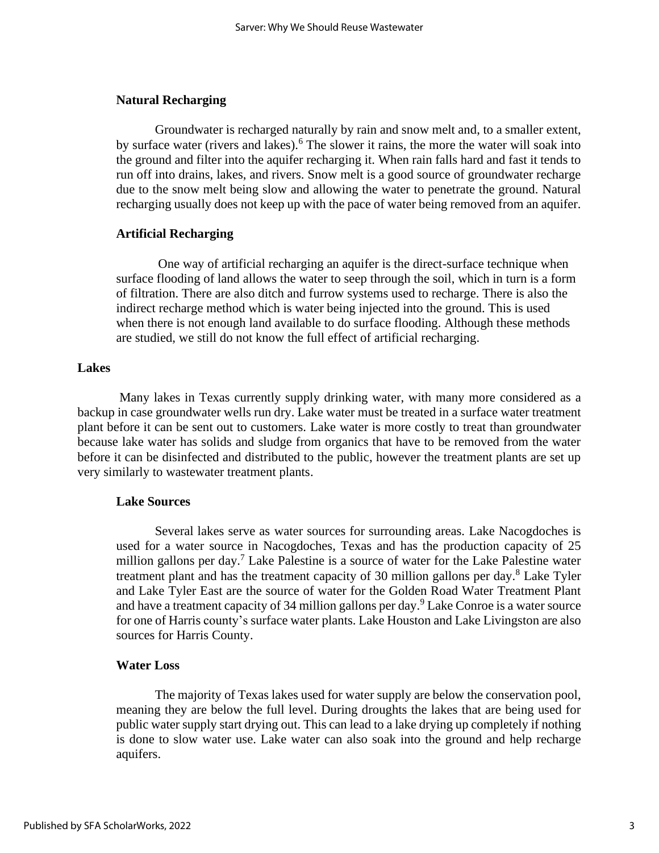### **Natural Recharging**

Groundwater is recharged naturally by rain and snow melt and, to a smaller extent, by surface water (rivers and lakes).<sup>6</sup> The slower it rains, the more the water will soak into the ground and filter into the aquifer recharging it. When rain falls hard and fast it tends to run off into drains, lakes, and rivers. Snow melt is a good source of groundwater recharge due to the snow melt being slow and allowing the water to penetrate the ground. Natural recharging usually does not keep up with the pace of water being removed from an aquifer.

## **Artificial Recharging**

One way of artificial recharging an aquifer is the direct-surface technique when surface flooding of land allows the water to seep through the soil, which in turn is a form of filtration. There are also ditch and furrow systems used to recharge. There is also the indirect recharge method which is water being injected into the ground. This is used when there is not enough land available to do surface flooding. Although these methods are studied, we still do not know the full effect of artificial recharging.

## **Lakes**

Many lakes in Texas currently supply drinking water, with many more considered as a backup in case groundwater wells run dry. Lake water must be treated in a surface water treatment plant before it can be sent out to customers. Lake water is more costly to treat than groundwater because lake water has solids and sludge from organics that have to be removed from the water before it can be disinfected and distributed to the public, however the treatment plants are set up very similarly to wastewater treatment plants.

#### **Lake Sources**

Several lakes serve as water sources for surrounding areas. Lake Nacogdoches is used for a water source in Nacogdoches, Texas and has the production capacity of 25 million gallons per day.<sup>7</sup> Lake Palestine is a source of water for the Lake Palestine water treatment plant and has the treatment capacity of 30 million gallons per day.<sup>8</sup> Lake Tyler and Lake Tyler East are the source of water for the Golden Road Water Treatment Plant and have a treatment capacity of 34 million gallons per day.<sup>9</sup> Lake Conroe is a water source for one of Harris county's surface water plants. Lake Houston and Lake Livingston are also sources for Harris County.

# **Water Loss**

The majority of Texas lakes used for water supply are below the conservation pool, meaning they are below the full level. During droughts the lakes that are being used for public water supply start drying out. This can lead to a lake drying up completely if nothing is done to slow water use. Lake water can also soak into the ground and help recharge aquifers.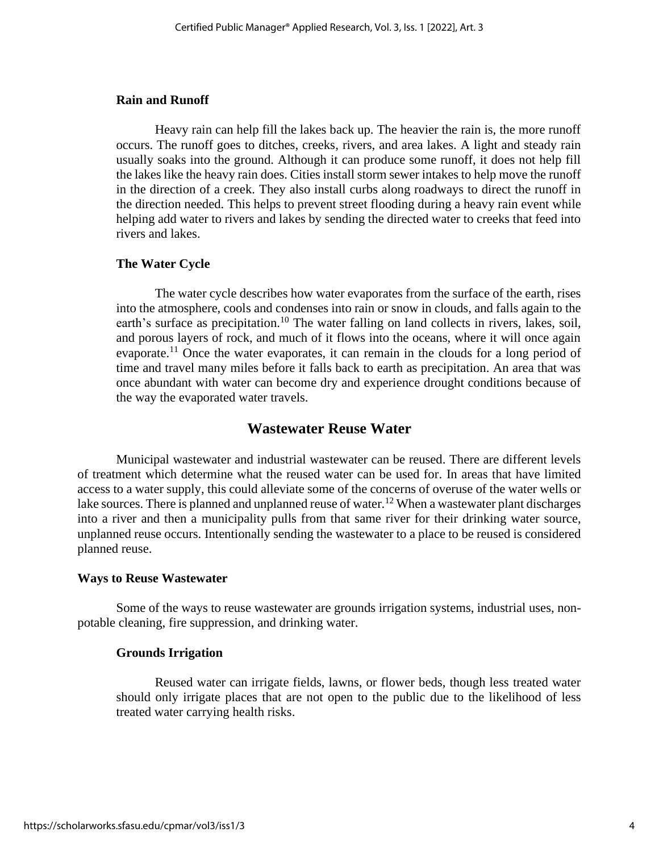#### **Rain and Runoff**

Heavy rain can help fill the lakes back up. The heavier the rain is, the more runoff occurs. The runoff goes to ditches, creeks, rivers, and area lakes. A light and steady rain usually soaks into the ground. Although it can produce some runoff, it does not help fill the lakes like the heavy rain does. Cities install storm sewer intakes to help move the runoff in the direction of a creek. They also install curbs along roadways to direct the runoff in the direction needed. This helps to prevent street flooding during a heavy rain event while helping add water to rivers and lakes by sending the directed water to creeks that feed into rivers and lakes.

#### **The Water Cycle**

The water cycle describes how water evaporates from the surface of the earth, rises into the atmosphere, cools and condenses into rain or snow in clouds, and falls again to the earth's surface as precipitation.<sup>10</sup> The water falling on land collects in rivers, lakes, soil, and porous layers of rock, and much of it flows into the oceans, where it will once again evaporate.<sup>11</sup> Once the water evaporates, it can remain in the clouds for a long period of time and travel many miles before it falls back to earth as precipitation. An area that was once abundant with water can become dry and experience drought conditions because of the way the evaporated water travels.

# **Wastewater Reuse Water**

Municipal wastewater and industrial wastewater can be reused. There are different levels of treatment which determine what the reused water can be used for. In areas that have limited access to a water supply, this could alleviate some of the concerns of overuse of the water wells or lake sources. There is planned and unplanned reuse of water.<sup>12</sup> When a wastewater plant discharges into a river and then a municipality pulls from that same river for their drinking water source, unplanned reuse occurs. Intentionally sending the wastewater to a place to be reused is considered planned reuse.

#### **Ways to Reuse Wastewater**

Some of the ways to reuse wastewater are grounds irrigation systems, industrial uses, nonpotable cleaning, fire suppression, and drinking water.

#### **Grounds Irrigation**

Reused water can irrigate fields, lawns, or flower beds, though less treated water should only irrigate places that are not open to the public due to the likelihood of less treated water carrying health risks.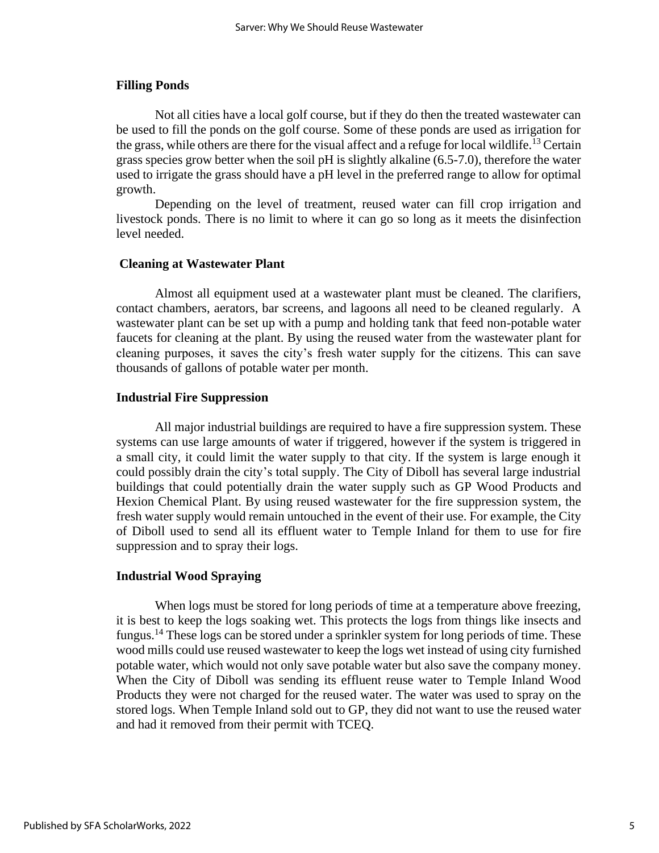### **Filling Ponds**

Not all cities have a local golf course, but if they do then the treated wastewater can be used to fill the ponds on the golf course. Some of these ponds are used as irrigation for the grass, while others are there for the visual affect and a refuge for local wildlife.<sup>13</sup> Certain grass species grow better when the soil pH is slightly alkaline (6.5-7.0), therefore the water used to irrigate the grass should have a pH level in the preferred range to allow for optimal growth.

Depending on the level of treatment, reused water can fill crop irrigation and livestock ponds. There is no limit to where it can go so long as it meets the disinfection level needed.

## **Cleaning at Wastewater Plant**

Almost all equipment used at a wastewater plant must be cleaned. The clarifiers, contact chambers, aerators, bar screens, and lagoons all need to be cleaned regularly. A wastewater plant can be set up with a pump and holding tank that feed non-potable water faucets for cleaning at the plant. By using the reused water from the wastewater plant for cleaning purposes, it saves the city's fresh water supply for the citizens. This can save thousands of gallons of potable water per month.

## **Industrial Fire Suppression**

All major industrial buildings are required to have a fire suppression system. These systems can use large amounts of water if triggered, however if the system is triggered in a small city, it could limit the water supply to that city. If the system is large enough it could possibly drain the city's total supply. The City of Diboll has several large industrial buildings that could potentially drain the water supply such as GP Wood Products and Hexion Chemical Plant. By using reused wastewater for the fire suppression system, the fresh water supply would remain untouched in the event of their use. For example, the City of Diboll used to send all its effluent water to Temple Inland for them to use for fire suppression and to spray their logs.

#### **Industrial Wood Spraying**

When logs must be stored for long periods of time at a temperature above freezing, it is best to keep the logs soaking wet. This protects the logs from things like insects and fungus.<sup>14</sup> These logs can be stored under a sprinkler system for long periods of time. These wood mills could use reused wastewater to keep the logs wet instead of using city furnished potable water, which would not only save potable water but also save the company money. When the City of Diboll was sending its effluent reuse water to Temple Inland Wood Products they were not charged for the reused water. The water was used to spray on the stored logs. When Temple Inland sold out to GP, they did not want to use the reused water and had it removed from their permit with TCEQ.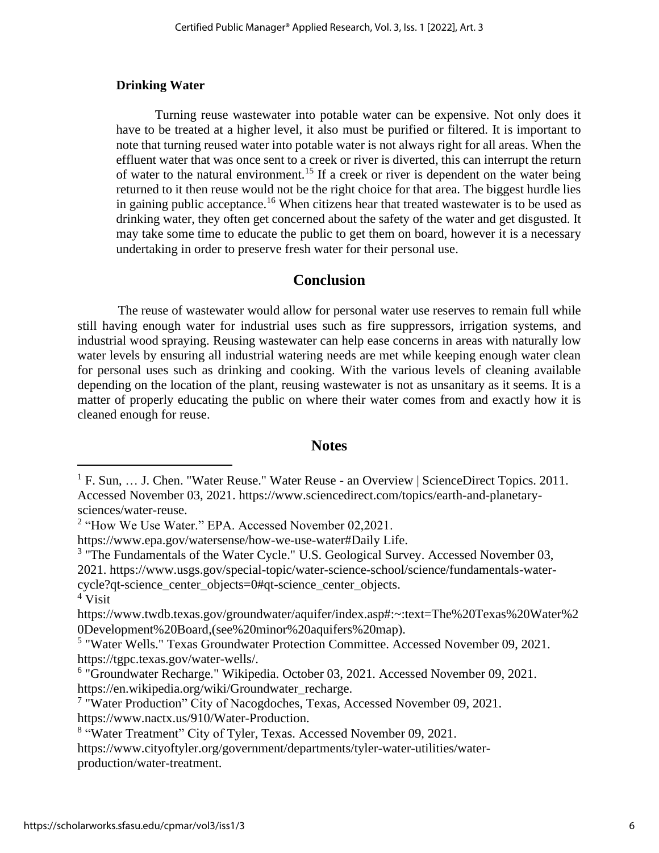# **Drinking Water**

Turning reuse wastewater into potable water can be expensive. Not only does it have to be treated at a higher level, it also must be purified or filtered. It is important to note that turning reused water into potable water is not always right for all areas. When the effluent water that was once sent to a creek or river is diverted, this can interrupt the return of water to the natural environment.<sup>15</sup> If a creek or river is dependent on the water being returned to it then reuse would not be the right choice for that area. The biggest hurdle lies in gaining public acceptance.<sup>16</sup> When citizens hear that treated wastewater is to be used as drinking water, they often get concerned about the safety of the water and get disgusted. It may take some time to educate the public to get them on board, however it is a necessary undertaking in order to preserve fresh water for their personal use.

# **Conclusion**

The reuse of wastewater would allow for personal water use reserves to remain full while still having enough water for industrial uses such as fire suppressors, irrigation systems, and industrial wood spraying. Reusing wastewater can help ease concerns in areas with naturally low water levels by ensuring all industrial watering needs are met while keeping enough water clean for personal uses such as drinking and cooking. With the various levels of cleaning available depending on the location of the plant, reusing wastewater is not as unsanitary as it seems. It is a matter of properly educating the public on where their water comes from and exactly how it is cleaned enough for reuse.

# **Notes**

6 "Groundwater Recharge." Wikipedia. October 03, 2021. Accessed November 09, 2021. https://en.wikipedia.org/wiki/Groundwater\_recharge.

<sup>&</sup>lt;sup>1</sup> F. Sun, ... J. Chen. "Water Reuse." Water Reuse - an Overview | ScienceDirect Topics. 2011. Accessed November 03, 2021. https://www.sciencedirect.com/topics/earth-and-planetarysciences/water-reuse.

<sup>&</sup>lt;sup>2</sup> "How We Use Water." EPA. Accessed November 02,2021.

https://www.epa.gov/watersense/how-we-use-water#Daily Life.

 $3$  "The Fundamentals of the Water Cycle." U.S. Geological Survey. Accessed November 03, 2021. https://www.usgs.gov/special-topic/water-science-school/science/fundamentals-watercycle?qt-science\_center\_objects=0#qt-science\_center\_objects. <sup>4</sup> Visit

https://www.twdb.texas.gov/groundwater/aquifer/index.asp#:~:text=The%20Texas%20Water%2 0Development%20Board,(see%20minor%20aquifers%20map).

<sup>5</sup> "Water Wells." Texas Groundwater Protection Committee. Accessed November 09, 2021. https://tgpc.texas.gov/water-wells/.

<sup>&</sup>lt;sup>7</sup> "Water Production" City of Nacogdoches, Texas, Accessed November 09, 2021. https://www.nactx.us/910/Water-Production.

<sup>&</sup>lt;sup>8</sup> "Water Treatment" City of Tyler, Texas. Accessed November 09, 2021.

https://www.cityoftyler.org/government/departments/tyler-water-utilities/waterproduction/water-treatment.